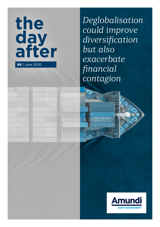

*Deglobalisation could improve diversification but also exacerbate financial contagion*

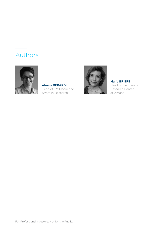# Authors



Alessia BERARDI Head of EM Macro and Strategy Research



### Marie BRIÈRE

Head of the Investor Research Center at Amundi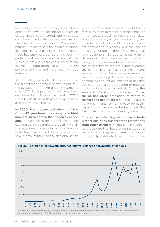In recent years world trade dynamics have definitely shown an accentuated inversion of the globalisation trend and its robust contribution to global economic performance. The Great Financial Crisis (GFC) marked a historic turning point in the degree of global economic integration. Since 2007/08 global trade has entered a period of increasingly protectionist policies (trade barriers, national subsidies, national champions), decelerating growth in trade-intensive sectors, rising policy uncertainty and more recently, trade tensions.

A compelling example of this reversal in the globalisation trend is shown in Figure 1: the evolution of foreign direct investments since 1970. Foreign direct investments have decreased by 60% since their peak in 2007. Cross-border financial flows have experienced a similar trend (Bordo, 2017).

In 2020, the unexpected advent of the Covid-19 pandemic has simply added momentum to a trend that began a decade ago. In response to the current health and economic crisis, countries are redefining their strategies on economic integration, autonomy in strategic sectors and domestic economic sovereignty, reinforcing the deglobalisation

trend. For most countries, the Covid-19 crisis may push them to rethink their dependency in key sectors such as technology (data protection, privacy and national security). As a matter of fact, US and Chinese companies are dominating this sector and the lack of a leading European company at the global level could push Europe to become more defensive and to increase regulations *vis a vis*  foreign companies and countries. One of the most sensitive sectors, exposed during the pandemic crisis, has been healthcare: several countries have become aware of their overwhelming dependence on foreign companies and felt an urgency to develop sufficient domestic production of medical equipment and pharmaceuticals. **Among the** several fronts of confrontation with China, the US has lately intensified its efforts to reshore the health sector. Some initiatives have been launched to increase domestic capacity, such as a larger budget under the CARES Act and specific company loans.

This is an auto-fulfilling vicious circle: trade restrictions bring further trade restrictions from other partners. Globalisation is generally accepted to have brought about a general high degree of wealth (though not equally distributed), and it may prove



For Professional Investors. Not for the Public.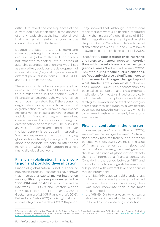difficult to revert the consequences of the current deglobalisation trend in the absence of strong leadership at the international level that is aimed at maintaining constructive collaboration and multilateralism.

Despite the fact the world is more and more bipolarising in two antagonist power centres, the global multilateral approach is not expected to shatter into hundreds of autarchic countries (isolationism); we still see as a more likely evolution the development of more customised/regional organisations with different power distributions (USMCA, RCEP and CPTPP, to name a few).

The economic deglobalisation process that intensified soon after the GFC did not lead to a similar trend in the financial world. Financial markets around the world remained very much integrated. But if the economic deglobalisation spreads to a financial deglobalisation, this could have a large impact on cross-market linkages, both in the long run and during financial crises, with important consequences for investors looking for diversification opportunities. The historical analysis of equity returns correlations over the last century is particularly instructive. We have experienced periods of varying globalisation intensity. Looking back at less globalised periods, we hope to offer some insights on what could happen in a less financially globalised world.

### Financial globalisation, financial contagion and portfolio diversification<sup>1</sup>

Financial globalisation is not a linear or irreversible process. Researchers have shown that international capital market integration was significantly more pronounced in the 1880-1914 and post-1971 eras than in the interwar (1919-1939) and Bretton Woods (1944-1971) periods (Mauro *et al*., 2002; Goetzmann *et al*., 2005; Rangvid *et al*., 2016). Bekaert and Mehl (2019) studied global stock market integration over the 1880-2014 period.

They showed that, although international stock markets were significantly integrated during the first era of global finance of 1880- 1914, integration was at its highest level in the post-Bretton Woods era. Hence, financial globalisation between 1880 and 2014 followed a "swoosh" pattern (Bekaert and Mehl, 2019).

By definition, globalisation is crisis insensitive and refers to a general increase in correlations within asset classes and across geographical areas (Berben and Jansen, 2005). However, during financial crisis episodes, we frequently observe a significant increase in cross-market linkages that go beyond what fundamentals can explain (Forbes and Rigobon, 2002). This phenomenon has been called "contagion" and it has important implications for investors. Investors typically look to benefit from employing diversification strategies. However, in the event of contagion across countries, geographical diversification becomes less powerful during crises, which in turn makes investors with already low returns even worse off.

### Financial contagion in the long run

In a recent paper (Accominotti *et al*., 2020), we examine the linkages between 17 international stock markets from a long historical perspective (1880-2014). We revisit the issue of financial contagion during globalised periods. More precisely, we investigate how the level of financial globalisation affects the risk of international financial contagion. Considering the period between 1880 and 2014 allows us to distinguish between four sub-periods with different levels of financial market integration:

- the 1880-1914 classical gold standard era, when financial markets were globalised but international stock market integration was more moderate than in the most recent period;
- the 1918-1940 interwar years, which saw a short revival in cross-border capital flows followed by a collapse of globalisation;

<sup>1.</sup> An earlier version of the article (Accominotti O., Brière M., Burietz A., Oosterlinck K. and Szafarz A. "Globalisation and Financial Contagion: A History") was published by the Center for Economic Policy Research Policy Portal (VoXEU) on April 10, 2020: [https://voxeu.org/article/](https://voxeu.org/article/globalisation-and-financial-contagion) [globalisation-and-financial-contagion](https://voxeu.org/article/globalisation-and-financial-contagion)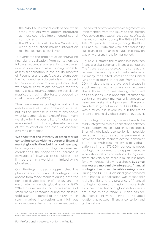- the 1946-1971 Bretton Woods period, when stock markets were poorly integrated as most countries implemented capital controls; and
- the 1972-2014 post-Bretton Woods era, when global stock market integration reached its highest level ever.

To overcome the problem of disentangling financial globalisation from contagion, we follow a sequential process. First, we use an international capital asset pricing model to assess globalisation in the equity markets of 17 countries and identify excess returns over the four identified sub-periods with respect to the international market portfolio. Next, we analyse correlations between monthly equity excess returns, comparing correlation matrices by using the tests proposed by Goetzmann *et al*. (2005).

Thus, we measure contagion, not as the absolute level of cross-correlation increase, but as the increase in correlations above what fundamentals can explain<sup>2</sup>. In summary, we allow for the possibility of globalisation associated with the systematic source of return variation, and then we consider overlying contagion.

We show that the intensity of stock market contagion varies with the degree of financial market globalisation, but in a nonlinear way. Intuitively, in a world with high cross-market correlations, the scope for an increase in correlations following a crisis should be more limited than in a world with limited or no globalisation.

Our findings indeed suggest that the phenomenon of financial contagion was absent from stock markets during both the period of deglobalisation of 1918-1971 and the era of intense financial globalisation of 1972- 2014. However, we do find some evidence of stock market contagion during the classical gold standard period of 1880-1914, when stock market integration was high but more moderate than in the most recent period.

The capital controls and market segmentation implemented from the 1930s to the Bretton Woods years may explain the absence of stock market contagion during the 1918-1939 and 1946-1971 periods. However, although the 1880- 1914 and 1972-2014 eras were both marked by significant capital market integration, contagion was only present in the former period.

Figure 2 illustrates the relationship between financial globalisation and financial contagion. The figure reports cross-country correlations between the monthly stock market returns of Germany, the United States and the United Kingdom in four sub-periods from 1880 to 2014. It also shows the average increase in stock market return correlations between these three countries during identified crisis episodes. As is apparent, international contagion on stock markets only appears to have been a significant problem in the era of "moderate" globalisation of 1880-1914, but was a much less severe issue in the era of "intense" financial globalisation of 1972-2014.

For contagion to occur, markets have to be mildly integrated. When connections between markets are minimal, contagion cannot appear. Short of globalisation, contagion is impossible because it requires some permeability between financial markets located in different countries. With peaking levels of globalisation as in the 1972-2014 period, however, contagion is doomed to disappear because when stock return correlations during quiet times are very high, there is much less room for any increase following a shock. **But once** markets are more mildly integrated, financial contagion becomes plausible during crises. During the 1880-1914 classical gold standard era, financial globalisation was reasonably high, highlighting the presence of financial contagion. Overall, contagion is more likely to occur when financial globalisation levels are in the middle range. Our findings are thus consistent with an inverted U-shaped relationship between financial contagion and globalisation.

<sup>2.</sup> Excess returns are estimated from a CAPM, with a World index weighted by country GDP. Two robustness checks are made, to the CAPM model and to the set of countries included, with similar results.

For Professional Investors. Not for the Public.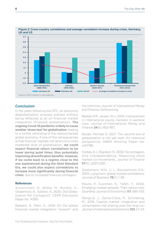

## Figure 2: Cross-country correlations and average correlation increase during crises, Germany,

### Conclusion

In the years following the GFC, an economic deglobalisation process started without being reflected at all on financial market integration (financial globalisation). The ongoing Covid-19 pandemic is likely to cause another 'stress test' for globalisation, leading to a further rethinking of the interconnected global economy. If one of the consequences is that financial markets will return to a more moderate level of globalisation, we could expect financial return correlations to be lower during quiet times, thus potentially improving diversification benefits. However, if we come back to a regime close to the one experienced during the Gold Standard Era, we could also expect correlations to increase more significantly during financial crises, due to increased financial contagion.

### References

Accominotti, O., Brière, M., Burietz, A., Oosterlinck, K., Szafarz, A., 2020. Did Globalization Kill Contagion?. CEPR Discussion Paper No. 14395.

Bekaert, G., Mehl, A., 2019. On the global financial market integration "swoosh" and

the trilemma. *Journal of International Money and Finance*, forthcoming.

Berben, R.P., Jansen, W.J., 2005. Comovement in international equity markets: A sectoral view. *Journal of International Money and Finance* 24(5), 832-857.

Bordo, Michael D. 2017. The second era of globalization is not yet over: An historical perspective. NBER Working Paper No. w23786.

Forbes, K.J., Rigobon, R., 2002. No contagion, only interdependence: Measuring stock market co-movements. *Journal of Finance*  57(5), 2223-2261.

Goetzmann, W.N., Li, L., Rouwenhorst, K.G., 2005. Long-term global market correlations. *Journal of Business* 78(1), 1-38.

Mauro, P., Sussman, N., Yafeh, Y., 2002. Emerging market spreads: Then versus now. *Quarterly Journal of Economics* 117, 695-733.

Rangvid, J., Santa-Clara, P., Schmeling, M., 2016. Capital market integration and consumption risk sharing over the long run. *Journal of International Economics* 103, 27-43.